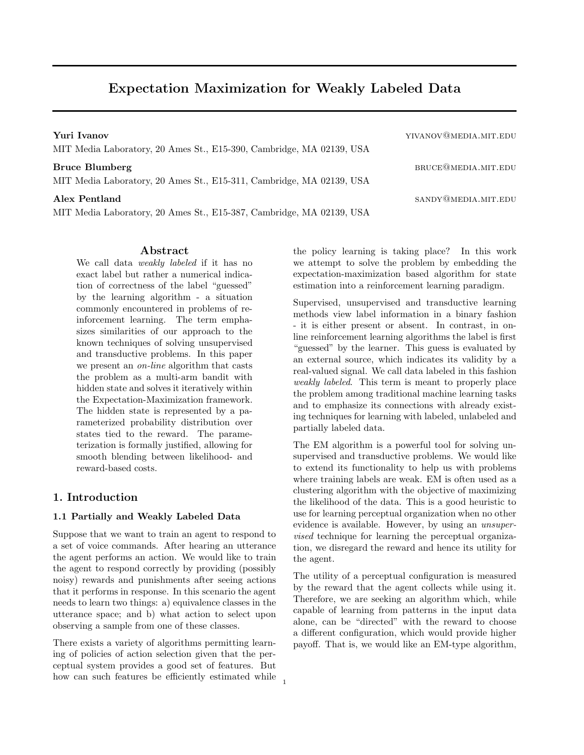# **Expectation Maximization for Weakly Labeled Data**

| Yuri Ivanov<br>MIT Media Laboratory, 20 Ames St., E15-390, Cambridge, MA 02139, USA | YIVANOV@MEDIA.MIT.EDU |
|-------------------------------------------------------------------------------------|-----------------------|
| Bruce Blumberg                                                                      | BRUCE@MEDIA.MIT.EDU   |
| MIT Media Laboratory, 20 Ames St., E15-311, Cambridge, MA 02139, USA                |                       |
| Alex Pentland                                                                       | SANDY@MEDIA.MIT.EDU   |

**Abstract**

MIT Media Laboratory, 20 Ames St., E15-387, Cambridge, MA 02139, USA

We call data *weakly labeled* if it has no exact label but rather a numerical indication of correctness of the label "guessed" by the learning algorithm - a situation commonly encountered in problems of reinforcement learning. The term emphasizes similarities of our approach to the known techniques of solving unsupervised and transductive problems. In this paper we present an *on-line* algorithm that casts the problem as a multi-arm bandit with hidden state and solves it iteratively within the Expectation-Maximization framework. The hidden state is represented by a parameterized probability distribution over states tied to the reward. The parameterization is formally justified, allowing for smooth blending between likelihood- and reward-based costs.

### **1. Introduction**

### **1.1 Partially and Weakly Labeled Data**

Suppose that we want to train an agent to respond to a set of voice commands. After hearing an utterance the agent performs an action. We would like to train the agent to respond correctly by providing (possibly noisy) rewards and punishments after seeing actions that it performs in response. In this scenario the agent needs to learn two things: a) equivalence classes in the utterance space; and b) what action to select upon observing a sample from one of these classes.

There exists a variety of algorithms permitting learning of policies of action selection given that the perceptual system provides a good set of features. But how can such features be efficiently estimated while  $\rm _1$ 

the policy learning is taking place? In this work we attempt to solve the problem by embedding the expectation-maximization based algorithm for state estimation into a reinforcement learning paradigm.

Supervised, unsupervised and transductive learning methods view label information in a binary fashion - it is either present or absent. In contrast, in online reinforcement learning algorithms the label is first "guessed" by the learner. This guess is evaluated by an external source, which indicates its validity by a real-valued signal. We call data labeled in this fashion *weakly labeled*. This term is meant to properly place the problem among traditional machine learning tasks and to emphasize its connections with already existing techniques for learning with labeled, unlabeled and partially labeled data.

The EM algorithm is a powerful tool for solving unsupervised and transductive problems. We would like to extend its functionality to help us with problems where training labels are weak. EM is often used as a clustering algorithm with the objective of maximizing the likelihood of the data. This is a good heuristic to use for learning perceptual organization when no other evidence is available. However, by using an *unsupervised* technique for learning the perceptual organization, we disregard the reward and hence its utility for the agent.

The utility of a perceptual configuration is measured by the reward that the agent collects while using it. Therefore, we are seeking an algorithm which, while capable of learning from patterns in the input data alone, can be "directed" with the reward to choose a different configuration, which would provide higher payoff. That is, we would like an EM-type algorithm,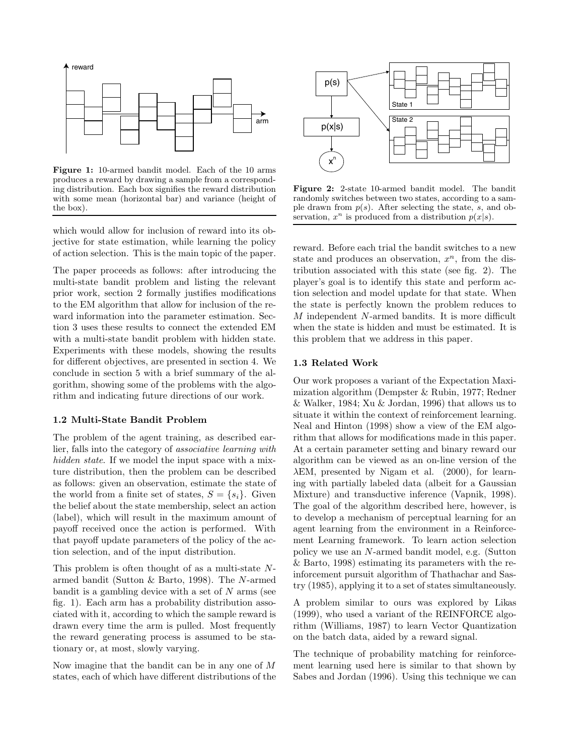

**Figure 1:** 10-armed bandit model. Each of the 10 arms produces a reward by drawing a sample from a corresponding distribution. Each box signifies the reward distribution with some mean (horizontal bar) and variance (height of the box).

which would allow for inclusion of reward into its objective for state estimation, while learning the policy of action selection. This is the main topic of the paper.

The paper proceeds as follows: after introducing the multi-state bandit problem and listing the relevant prior work, section 2 formally justifies modifications to the EM algorithm that allow for inclusion of the reward information into the parameter estimation. Section 3 uses these results to connect the extended EM with a multi-state bandit problem with hidden state. Experiments with these models, showing the results for different objectives, are presented in section 4. We conclude in section 5 with a brief summary of the algorithm, showing some of the problems with the algorithm and indicating future directions of our work.

#### **1.2 Multi-State Bandit Problem**

The problem of the agent training, as described earlier, falls into the category of *associative learning with hidden state*. If we model the input space with a mixture distribution, then the problem can be described as follows: given an observation, estimate the state of the world from a finite set of states,  $S = \{s_i\}$ . Given the belief about the state membership, select an action (label), which will result in the maximum amount of payoff received once the action is performed. With that payoff update parameters of the policy of the action selection, and of the input distribution.

This problem is often thought of as a multi-state Narmed bandit (Sutton & Barto, 1998). The N-armed bandit is a gambling device with a set of  $N$  arms (see fig. 1). Each arm has a probability distribution associated with it, according to which the sample reward is drawn every time the arm is pulled. Most frequently the reward generating process is assumed to be stationary or, at most, slowly varying.

Now imagine that the bandit can be in any one of M states, each of which have different distributions of the



**Figure 2:** 2-state 10-armed bandit model. The bandit randomly switches between two states, according to a sample drawn from  $p(s)$ . After selecting the state, s, and observation,  $x^n$  is produced from a distribution  $p(x|s)$ .

reward. Before each trial the bandit switches to a new state and produces an observation,  $x^n$ , from the distribution associated with this state (see fig. 2). The player's goal is to identify this state and perform action selection and model update for that state. When the state is perfectly known the problem reduces to M independent N-armed bandits. It is more difficult when the state is hidden and must be estimated. It is this problem that we address in this paper.

#### **1.3 Related Work**

Our work proposes a variant of the Expectation Maximization algorithm (Dempster & Rubin, 1977; Redner & Walker, 1984; Xu & Jordan, 1996) that allows us to situate it within the context of reinforcement learning. Neal and Hinton (1998) show a view of the EM algorithm that allows for modifications made in this paper. At a certain parameter setting and binary reward our algorithm can be viewed as an on-line version of the  $\lambda$ EM, presented by Nigam et al. (2000), for learning with partially labeled data (albeit for a Gaussian Mixture) and transductive inference (Vapnik, 1998). The goal of the algorithm described here, however, is to develop a mechanism of perceptual learning for an agent learning from the environment in a Reinforcement Learning framework. To learn action selection policy we use an N-armed bandit model, e.g. (Sutton & Barto, 1998) estimating its parameters with the reinforcement pursuit algorithm of Thathachar and Sastry (1985), applying it to a set of states simultaneously.

A problem similar to ours was explored by Likas (1999), who used a variant of the REINFORCE algorithm (Williams, 1987) to learn Vector Quantization on the batch data, aided by a reward signal.

The technique of probability matching for reinforcement learning used here is similar to that shown by Sabes and Jordan (1996). Using this technique we can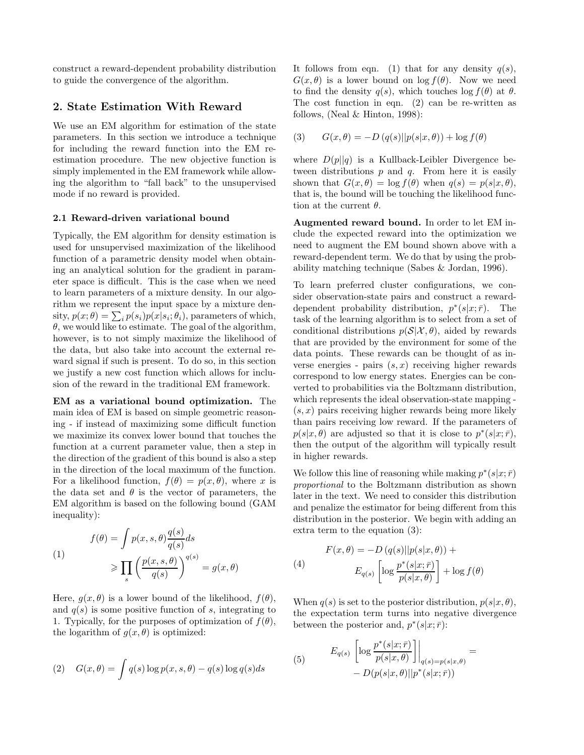construct a reward-dependent probability distribution to guide the convergence of the algorithm.

### **2. State Estimation With Reward**

We use an EM algorithm for estimation of the state parameters. In this section we introduce a technique for including the reward function into the EM reestimation procedure. The new objective function is simply implemented in the EM framework while allowing the algorithm to "fall back" to the unsupervised mode if no reward is provided.

#### **2.1 Reward-driven variational bound**

Typically, the EM algorithm for density estimation is used for unsupervised maximization of the likelihood function of a parametric density model when obtaining an analytical solution for the gradient in parameter space is difficult. This is the case when we need to learn parameters of a mixture density. In our algorithm we represent the input space by a mixture density,  $p(x; \theta) = \sum_i p(s_i)p(x|s_i; \theta_i)$ , parameters of which,  $\theta$ , we would like to estimate. The goal of the algorithm, however, is to not simply maximize the likelihood of the data, but also take into account the external reward signal if such is present. To do so, in this section we justify a new cost function which allows for inclusion of the reward in the traditional EM framework.

**EM as a variational bound optimization.** The main idea of EM is based on simple geometric reasoning - if instead of maximizing some difficult function we maximize its convex lower bound that touches the function at a current parameter value, then a step in the direction of the gradient of this bound is also a step in the direction of the local maximum of the function. For a likelihood function,  $f(\theta) = p(x, \theta)$ , where x is the data set and  $\theta$  is the vector of parameters, the EM algorithm is based on the following bound (GAM inequality):

(1)  

$$
f(\theta) = \int p(x, s, \theta) \frac{q(s)}{q(s)} ds
$$

$$
\geq \prod_{s} \left( \frac{p(x, s, \theta)}{q(s)} \right)^{q(s)} = g(x, \theta)
$$

Here,  $g(x, \theta)$  is a lower bound of the likelihood,  $f(\theta)$ , and  $q(s)$  is some positive function of s, integrating to 1. Typically, for the purposes of optimization of  $f(\theta)$ , the logarithm of  $g(x, \theta)$  is optimized:

(2) 
$$
G(x, \theta) = \int q(s) \log p(x, s, \theta) - q(s) \log q(s) ds
$$

It follows from eqn. (1) that for any density  $q(s)$ ,  $G(x, \theta)$  is a lower bound on log  $f(\theta)$ . Now we need to find the density  $q(s)$ , which touches  $\log f(\theta)$  at  $\theta$ . The cost function in eqn. (2) can be re-written as follows, (Neal & Hinton, 1998):

$$
(3) \qquad G(x,\theta) = -D(q(s)||p(s|x,\theta)) + \log f(\theta)
$$

where  $D(p||q)$  is a Kullback-Leibler Divergence between distributions  $p$  and  $q$ . From here it is easily shown that  $G(x, \theta) = \log f(\theta)$  when  $q(s) = p(s|x, \theta)$ , that is, the bound will be touching the likelihood function at the current  $\theta$ .

**Augmented reward bound.** In order to let EM include the expected reward into the optimization we need to augment the EM bound shown above with a reward-dependent term. We do that by using the probability matching technique (Sabes & Jordan, 1996).

To learn preferred cluster configurations, we consider observation-state pairs and construct a rewarddependent probability distribution,  $p^*(s|x;\bar{r})$ . The task of the learning algorithm is to select from a set of conditional distributions  $p(\mathcal{S}|\mathcal{X}, \theta)$ , aided by rewards that are provided by the environment for some of the data points. These rewards can be thought of as inverse energies - pairs  $(s, x)$  receiving higher rewards correspond to low energy states. Energies can be converted to probabilities via the Boltzmann distribution, which represents the ideal observation-state mapping -  $(s, x)$  pairs receiving higher rewards being more likely than pairs receiving low reward. If the parameters of  $p(s|x, \theta)$  are adjusted so that it is close to  $p^*(s|x; \overline{r})$ , then the output of the algorithm will typically result in higher rewards.

We follow this line of reasoning while making  $p^*(s|x;\bar{r})$ *proportional* to the Boltzmann distribution as shown later in the text. We need to consider this distribution and penalize the estimator for being different from this distribution in the posterior. We begin with adding an extra term to the equation (3):

(4) 
$$
F(x, \theta) = -D (q(s)||p(s|x, \theta)) +
$$

$$
E_{q(s)} \left[ \log \frac{p^*(s|x; \bar{r})}{p(s|x, \theta)} \right] + \log f(\theta)
$$

When  $q(s)$  is set to the posterior distribution,  $p(s|x, \theta)$ , the expectation term turns into negative divergence between the posterior and,  $p^*(s|x;\bar{r})$ :

(5) 
$$
E_{q(s)} \left[ \log \frac{p^*(s|x;\bar{r})}{p(s|x,\theta)} \right] \Big|_{q(s)=p(s|x,\theta)} = D(p(s|x,\theta)||p^*(s|x;\bar{r}))
$$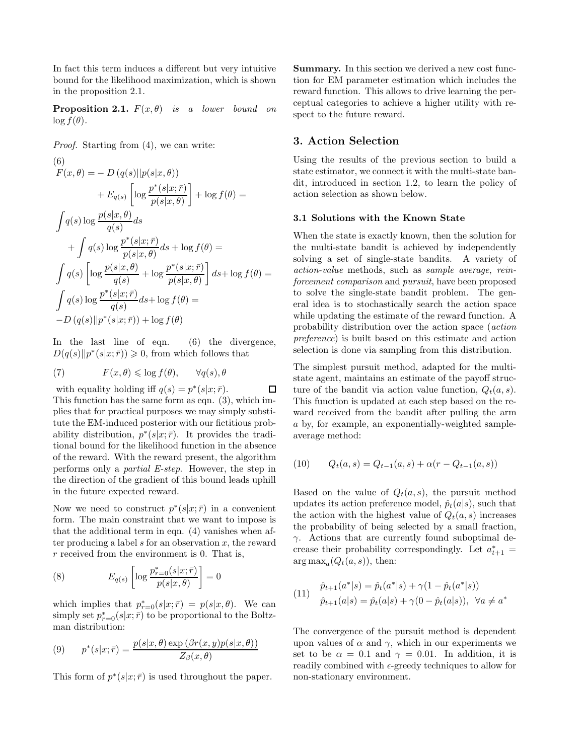In fact this term induces a different but very intuitive bound for the likelihood maximization, which is shown in the proposition 2.1.

**Proposition 2.1.**  $F(x, \theta)$  *is a lower bound on*  $\log f(\theta)$ .

*Proof.* Starting from (4), we can write:

(6)  
\n
$$
F(x, \theta) = -D (q(s)||p(s|x, \theta))
$$
\n
$$
+ E_{q(s)} \left[ \log \frac{p^*(s|x; \bar{r})}{p(s|x, \theta)} \right] + \log f(\theta) =
$$
\n
$$
\int q(s) \log \frac{p(s|x, \theta)}{q(s)} ds
$$
\n
$$
+ \int q(s) \log \frac{p^*(s|x; \bar{r})}{p(s|x, \theta)} ds + \log f(\theta) =
$$
\n
$$
\int q(s) \left[ \log \frac{p(s|x, \theta)}{q(s)} + \log \frac{p^*(s|x; \bar{r})}{p(s|x, \theta)} \right] ds + \log f(\theta) =
$$
\n
$$
\int q(s) \log \frac{p^*(s|x; \bar{r})}{q(s)} ds + \log f(\theta) =
$$
\n
$$
-D (q(s)||p^*(s|x; \bar{r})) + \log f(\theta)
$$

In the last line of eqn. (6) the divergence,  $D(q(s)||p^*(s|x;\bar{r})) \geqslant 0$ , from which follows that

(7) 
$$
F(x, \theta) \leq \log f(\theta), \quad \forall q(s), \theta
$$

with equality holding iff  $q(s) = p^*(s|x; \bar{r}).$  $\Box$ This function has the same form as eqn. (3), which implies that for practical purposes we may simply substitute the EM-induced posterior with our fictitious probability distribution,  $p^*(s|x;\bar{r})$ . It provides the traditional bound for the likelihood function in the absence of the reward. With the reward present, the algorithm performs only a *partial E-step*. However, the step in the direction of the gradient of this bound leads uphill in the future expected reward.

Now we need to construct  $p^*(s|x;\bar{r})$  in a convenient form. The main constraint that we want to impose is that the additional term in eqn. (4) vanishes when after producing a label s for an observation x, the reward r received from the environment is 0. That is,

(8) 
$$
E_{q(s)}\left[\log \frac{p_{r=0}^*(s|x;\bar{r})}{p(s|x,\theta)}\right] = 0
$$

which implies that  $p_{r=0}^*(s|x;\bar{r}) = p(s|x,\theta)$ . We can simply set  $p_{r=0}^*(s|x;\bar{r})$  to be proportional to the Boltzman distribution:

(9) 
$$
p^*(s|x;\bar{r}) = \frac{p(s|x,\theta) \exp(\beta r(x,y)p(s|x,\theta))}{Z_{\beta}(x,\theta)}
$$

This form of  $p^*(s|x;\bar{r})$  is used throughout the paper.

**Summary.** In this section we derived a new cost function for EM parameter estimation which includes the reward function. This allows to drive learning the perceptual categories to achieve a higher utility with respect to the future reward.

### **3. Action Selection**

Using the results of the previous section to build a state estimator, we connect it with the multi-state bandit, introduced in section 1.2, to learn the policy of action selection as shown below.

#### **3.1 Solutions with the Known State**

When the state is exactly known, then the solution for the multi-state bandit is achieved by independently solving a set of single-state bandits. A variety of *action-value* methods, such as *sample average*, *reinforcement comparison* and *pursuit*, have been proposed to solve the single-state bandit problem. The general idea is to stochastically search the action space while updating the estimate of the reward function. A probability distribution over the action space (*action preference*) is built based on this estimate and action selection is done via sampling from this distribution.

The simplest pursuit method, adapted for the multistate agent, maintains an estimate of the payoff structure of the bandit via action value function,  $Q_t(a, s)$ . This function is updated at each step based on the reward received from the bandit after pulling the arm a by, for example, an exponentially-weighted sampleaverage method:

(10) 
$$
Q_t(a,s) = Q_{t-1}(a,s) + \alpha (r - Q_{t-1}(a,s))
$$

Based on the value of  $Q_t(a, s)$ , the pursuit method updates its action preference model,  $\hat{p}_t(a|s)$ , such that the action with the highest value of  $Q_t(a, s)$  increases the probability of being selected by a small fraction,  $\gamma$ . Actions that are currently found suboptimal decrease their probability correspondingly. Let  $a_{t+1}^* =$  $arg max<sub>a</sub>(Q<sub>t</sub>(a, s))$ , then:

(11) 
$$
\hat{p}_{t+1}(a^*|s) = \hat{p}_t(a^*|s) + \gamma (1 - \hat{p}_t(a^*|s))
$$

$$
\hat{p}_{t+1}(a|s) = \hat{p}_t(a|s) + \gamma (0 - \hat{p}_t(a|s)), \ \forall a \neq a^*
$$

The convergence of the pursuit method is dependent upon values of  $\alpha$  and  $\gamma$ , which in our experiments we set to be  $\alpha = 0.1$  and  $\gamma = 0.01$ . In addition, it is readily combined with  $\epsilon$ -greedy techniques to allow for non-stationary environment.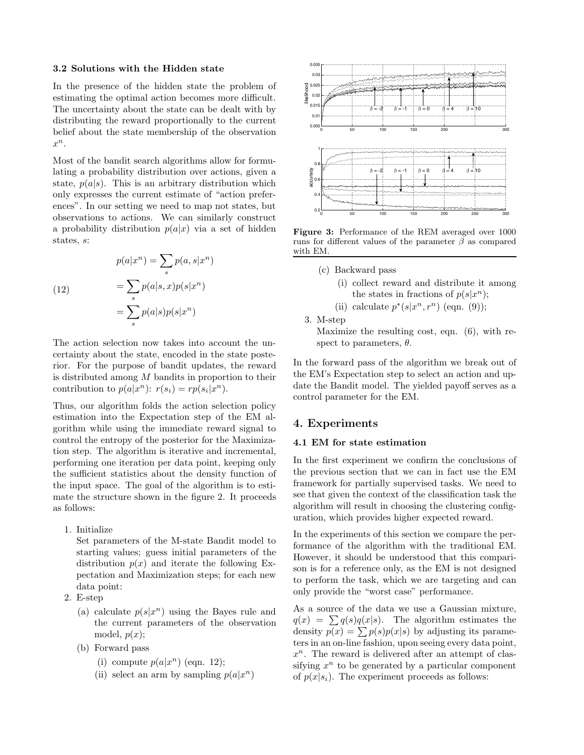### **3.2 Solutions with the Hidden state**

In the presence of the hidden state the problem of estimating the optimal action becomes more difficult. The uncertainty about the state can be dealt with by distributing the reward proportionally to the current belief about the state membership of the observation  $x^n$ .

Most of the bandit search algorithms allow for formulating a probability distribution over actions, given a state,  $p(a|s)$ . This is an arbitrary distribution which only expresses the current estimate of "action preferences". In our setting we need to map not states, but observations to actions. We can similarly construct a probability distribution  $p(a|x)$  via a set of hidden states, s:

(12)  
\n
$$
p(a|x^n) = \sum_{s} p(a, s|x^n)
$$
\n
$$
= \sum_{s} p(a|s, x)p(s|x^n)
$$
\n
$$
= \sum_{s} p(a|s)p(s|x^n)
$$

The action selection now takes into account the uncertainty about the state, encoded in the state posterior. For the purpose of bandit updates, the reward is distributed among  $M$  bandits in proportion to their contribution to  $p(a|x^n)$ :  $r(s_i) = rp(s_i|x^n)$ .

Thus, our algorithm folds the action selection policy estimation into the Expectation step of the EM algorithm while using the immediate reward signal to control the entropy of the posterior for the Maximization step. The algorithm is iterative and incremental, performing one iteration per data point, keeping only the sufficient statistics about the density function of the input space. The goal of the algorithm is to estimate the structure shown in the figure 2. It proceeds as follows:

1. Initialize

Set parameters of the M-state Bandit model to starting values; guess initial parameters of the distribution  $p(x)$  and iterate the following Expectation and Maximization steps; for each new data point:

- 2. E-step
	- (a) calculate  $p(s|x^n)$  using the Bayes rule and the current parameters of the observation model,  $p(x)$ ;
	- (b) Forward pass
		- (i) compute  $p(a|x^n)$  (eqn. 12);
		- (ii) select an arm by sampling  $p(a|x^n)$



**Figure 3:** Performance of the REM averaged over 1000 runs for different values of the parameter  $\beta$  as compared with EM.

- (c) Backward pass
	- (i) collect reward and distribute it among the states in fractions of  $p(s|x^n);$
	- (ii) calculate  $p^*(s|x^n, r^n)$  (eqn. (9));
- 3. M-step

Maximize the resulting cost, eqn. (6), with respect to parameters,  $\theta$ .

In the forward pass of the algorithm we break out of the EM's Expectation step to select an action and update the Bandit model. The yielded payoff serves as a control parameter for the EM.

### **4. Experiments**

#### **4.1 EM for state estimation**

In the first experiment we confirm the conclusions of the previous section that we can in fact use the EM framework for partially supervised tasks. We need to see that given the context of the classification task the algorithm will result in choosing the clustering configuration, which provides higher expected reward.

In the experiments of this section we compare the performance of the algorithm with the traditional EM. However, it should be understood that this comparison is for a reference only, as the EM is not designed to perform the task, which we are targeting and can only provide the "worst case" performance.

As a source of the data we use a Gaussian mixture,  $q(x) = \sum q(s)q(x|s)$ . The algorithm estimates the density  $p(x) = \sum p(s)p(x|s)$  by adjusting its parameters in an on-line fashion, upon seeing every data point,  $x^n$ . The reward is delivered after an attempt of classifying  $x^n$  to be generated by a particular component of  $p(x|s_i)$ . The experiment proceeds as follows: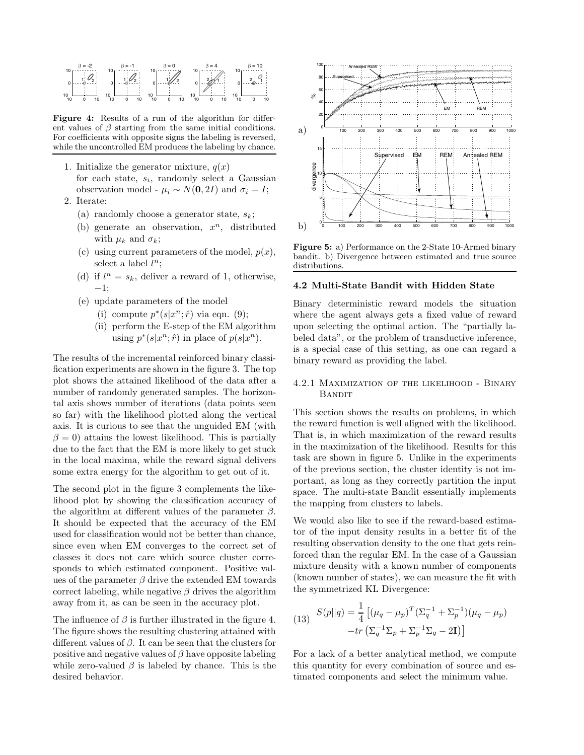

**Figure 4:** Results of a run of the algorithm for different values of  $\beta$  starting from the same initial conditions. For coefficients with opposite signs the labeling is reversed, while the uncontrolled EM produces the labeling by chance.

- 1. Initialize the generator mixture,  $q(x)$ for each state,  $s_i$ , randomly select a Gaussian observation model -  $\mu_i \sim N(\mathbf{0}, 2I)$  and  $\sigma_i = I$ ;
- 2. Iterate:
	- (a) randomly choose a generator state,  $s_k$ ;
	- (b) generate an observation,  $x^n$ , distributed with  $\mu_k$  and  $\sigma_k$ ;
	- (c) using current parameters of the model,  $p(x)$ , select a label  $l^n$ ;
	- (d) if  $l^n = s_k$ , deliver a reward of 1, otherwise, −1;
	- (e) update parameters of the model
		- (i) compute  $p^*(s|x^n; \hat{r})$  via eqn. (9);
		- (ii) perform the E-step of the EM algorithm using  $p^*(s|x^n; \hat{r})$  in place of  $p(s|x^n)$ .

The results of the incremental reinforced binary classification experiments are shown in the figure 3. The top plot shows the attained likelihood of the data after a number of randomly generated samples. The horizontal axis shows number of iterations (data points seen so far) with the likelihood plotted along the vertical axis. It is curious to see that the unguided EM (with  $\beta = 0$ ) attains the lowest likelihood. This is partially due to the fact that the EM is more likely to get stuck in the local maxima, while the reward signal delivers some extra energy for the algorithm to get out of it.

The second plot in the figure 3 complements the likelihood plot by showing the classification accuracy of the algorithm at different values of the parameter  $\beta$ . It should be expected that the accuracy of the EM used for classification would not be better than chance, since even when EM converges to the correct set of classes it does not care which source cluster corresponds to which estimated component. Positive values of the parameter  $\beta$  drive the extended EM towards correct labeling, while negative  $\beta$  drives the algorithm away from it, as can be seen in the accuracy plot.

The influence of  $\beta$  is further illustrated in the figure 4. The figure shows the resulting clustering attained with different values of  $\beta$ . It can be seen that the clusters for positive and negative values of  $\beta$  have opposite labeling while zero-valued  $\beta$  is labeled by chance. This is the desired behavior.



**Figure 5:** a) Performance on the 2-State 10-Armed binary bandit. b) Divergence between estimated and true source distributions.

### **4.2 Multi-State Bandit with Hidden State**

Binary deterministic reward models the situation where the agent always gets a fixed value of reward upon selecting the optimal action. The "partially labeled data", or the problem of transductive inference, is a special case of this setting, as one can regard a binary reward as providing the label.

### 4.2.1 Maximization of the likelihood - Binary **BANDIT**

This section shows the results on problems, in which the reward function is well aligned with the likelihood. That is, in which maximization of the reward results in the maximization of the likelihood. Results for this task are shown in figure 5. Unlike in the experiments of the previous section, the cluster identity is not important, as long as they correctly partition the input space. The multi-state Bandit essentially implements the mapping from clusters to labels.

We would also like to see if the reward-based estimator of the input density results in a better fit of the resulting observation density to the one that gets reinforced than the regular EM. In the case of a Gaussian mixture density with a known number of components (known number of states), we can measure the fit with the symmetrized KL Divergence:

(13) 
$$
S(p||q) = \frac{1}{4} \left[ (\mu_q - \mu_p)^T (\Sigma_q^{-1} + \Sigma_p^{-1}) (\mu_q - \mu_p) - tr \left( \Sigma_q^{-1} \Sigma_p + \Sigma_p^{-1} \Sigma_q - 2\mathbf{I} \right) \right]
$$

For a lack of a better analytical method, we compute this quantity for every combination of source and estimated components and select the minimum value.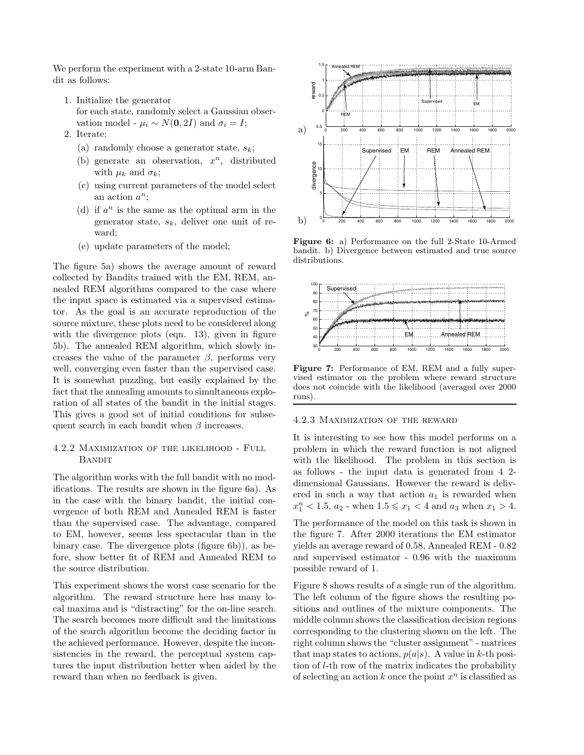We perform the experiment with a 2-state 10-arm Bandit as follows:

- 1. Initialize the generator for each state, randomly select a Gaussian observation model -  $\mu_i \sim N(0, 2I)$  and  $\sigma_i = I$ ;
- 2. Iterate:
	- (a) randomly choose a generator state,  $s_k$ ;
	- (b) generate an observation,  $x^n$ , distributed with  $\mu_k$  and  $\sigma_k$ ;
	- (c) using current parameters of the model select an action  $a^n$ ;
	- (d) if  $a^n$  is the same as the optimal arm in the generator state,  $s_k$ , deliver one unit of reward;
	- (e) update parameters of the model;

The figure 5a) shows the average amount of reward collected by Bandits trained with the EM, REM, annealed REM algorithms compared to the case where the input space is estimated via a supervised estimator. As the goal is an accurate reproduction of the source mixture, these plots need to be considered along with the divergence plots (eqn. 13), given in figure 5b). The annealed REM algorithm, which slowly increases the value of the parameter  $\beta$ , performs very well, converging even faster than the supervised case. It is somewhat puzzling, but easily explained by the fact that the annealing amounts to simultaneous exploration of all states of the bandit in the initial stages. This gives a good set of initial conditions for subsequent search in each bandit when  $\beta$  increases.

### 4.2.2 Maximization of the likelihood - Full **BANDIT**

The algorithm works with the full bandit with no modifications. The results are shown in the figure 6a). As in the case with the binary bandit, the initial convergence of both REM and Annealed REM is faster than the supervised case. The advantage, compared to EM, however, seems less spectacular than in the binary case. The divergence plots (figure 6b)), as before, show better fit of REM and Annealed REM to the source distribution.

This experiment shows the worst case scenario for the algorithm. The reward structure here has many local maxima and is "distracting" for the on-line search. The search becomes more difficult and the limitations of the search algorithm become the deciding factor in the achieved performance. However, despite the inconsistencies in the reward, the perceptual system captures the input distribution better when aided by the reward than when no feedback is given.



**Figure 6:** a) Performance on the full 2-State 10-Armed bandit. b) Divergence between estimated and true source distributions.



**Figure 7:** Performance of EM, REM and a fully supervised estimator on the problem where reward structure does not coincide with the likelihood (averaged over 2000 runs).

#### 4.2.3 Maximization of the reward

It is interesting to see how this model performs on a problem in which the reward function is not aligned with the likelihood. The problem in this section is as follows - the input data is generated from 4 2 dimensional Gaussians. However the reward is delivered in such a way that action  $a_1$  is rewarded when  $x_1^n < 1.5$ ,  $a_2$  - when  $1.5 \le x_1 < 4$  and  $a_3$  when  $x_1 > 4$ .

The performance of the model on this task is shown in the figure 7. After 2000 iterations the EM estimator yields an average reward of 0.58, Annealed REM - 0.82 and supervised estimator - 0.96 with the maximum possible reward of 1.

Figure 8 shows results of a single run of the algorithm. The left column of the figure shows the resulting positions and outlines of the mixture components. The middle column shows the classification decision regions corresponding to the clustering shown on the left. The right column shows the "cluster assignment" - matrices that map states to actions,  $p(a|s)$ . A value in k-th position of l-th row of the matrix indicates the probability of selecting an action k once the point  $x^n$  is classified as